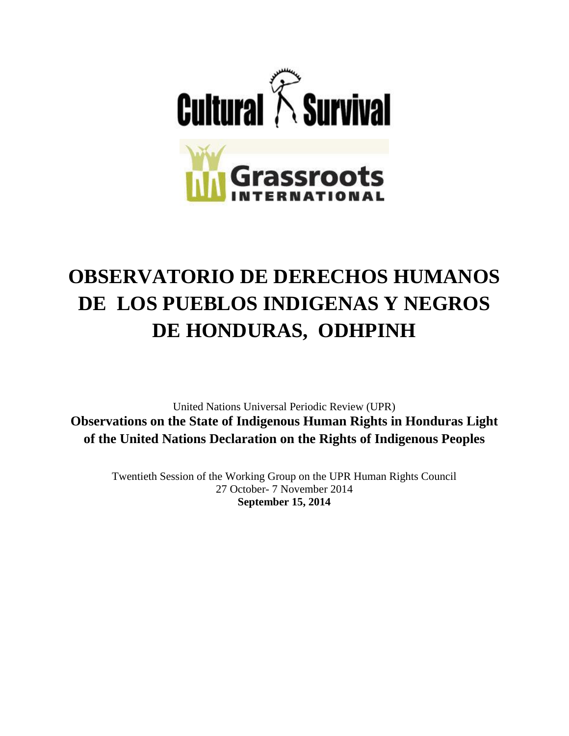

# **OBSERVATORIO DE DERECHOS HUMANOS DE LOS PUEBLOS INDIGENAS Y NEGROS DE HONDURAS, ODHPINH**

United Nations Universal Periodic Review (UPR) **Observations on the State of Indigenous Human Rights in Honduras Light of the United Nations Declaration on the Rights of Indigenous Peoples**

Twentieth Session of the Working Group on the UPR Human Rights Council 27 October- 7 November 2014 **September 15, 2014**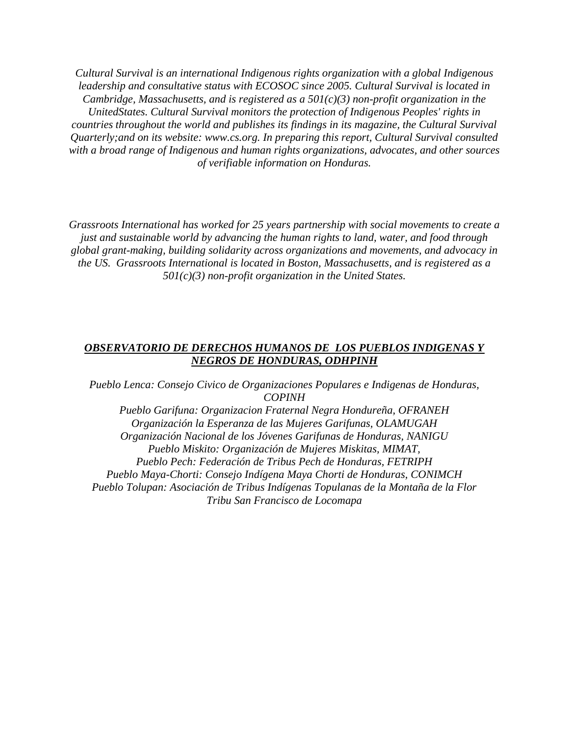*Cultural Survival is an international Indigenous rights organization with a global Indigenous leadership and consultative status with ECOSOC since 2005. Cultural Survival is located in Cambridge, Massachusetts, and is registered as a 501(c)(3) non-profit organization in the UnitedStates. Cultural Survival monitors the protection of Indigenous Peoples' rights in countries throughout the world and publishes its findings in its magazine, the Cultural Survival Quarterly;and on its website: www.cs.org. In preparing this report, Cultural Survival consulted with a broad range of Indigenous and human rights organizations, advocates, and other sources of verifiable information on Honduras.*

*Grassroots International has worked for 25 years partnership with social movements to create a just and sustainable world by advancing the human rights to land, water, and food through global grant-making, building solidarity across organizations and movements, and advocacy in the US. Grassroots International is located in Boston, Massachusetts, and is registered as a 501(c)(3) non-profit organization in the United States.* 

#### *OBSERVATORIO DE DERECHOS HUMANOS DE LOS PUEBLOS INDIGENAS Y NEGROS DE HONDURAS, ODHPINH*

*Pueblo Lenca: Consejo Civico de Organizaciones Populares e Indigenas de Honduras, COPINH Pueblo Garifuna: Organizacion Fraternal Negra Hondureña, OFRANEH Organización la Esperanza de las Mujeres Garifunas, OLAMUGAH Organización Nacional de los Jóvenes Garifunas de Honduras, NANIGU Pueblo Miskito: Organización de Mujeres Miskitas, MIMAT, Pueblo Pech: Federación de Tribus Pech de Honduras, FETRIPH Pueblo Maya-Chorti: Consejo Indígena Maya Chorti de Honduras, CONIMCH Pueblo Tolupan: Asociación de Tribus Indígenas Topulanas de la Montaña de la Flor Tribu San Francisco de Locomapa*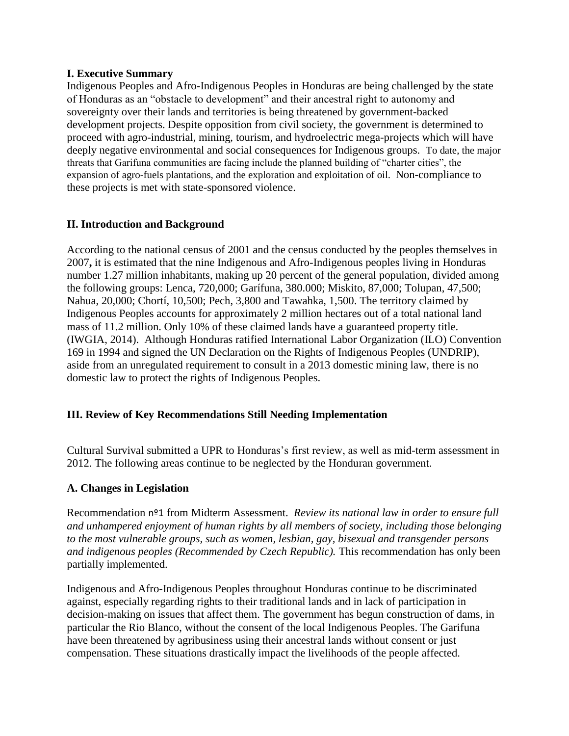#### **I. Executive Summary**

Indigenous Peoples and Afro-Indigenous Peoples in Honduras are being challenged by the state of Honduras as an "obstacle to development" and their ancestral right to autonomy and sovereignty over their lands and territories is being threatened by government-backed development projects. Despite opposition from civil society, the government is determined to proceed with agro-industrial, mining, tourism, and hydroelectric mega-projects which will have deeply negative environmental and social consequences for Indigenous groups. To date, the major threats that Garifuna communities are facing include the planned building of "charter cities", the expansion of agro-fuels plantations, and the exploration and exploitation of oil. Non-compliance to these projects is met with state-sponsored violence.

### **II. Introduction and Background**

According to the national census of 2001 and the census conducted by the peoples themselves in 2007**,** it is estimated that the nine Indigenous and Afro-Indigenous peoples living in Honduras number 1.27 million inhabitants, making up 20 percent of the general population, divided among the following groups: Lenca, 720,000; Garífuna, 380.000; Miskito, 87,000; Tolupan, 47,500; Nahua, 20,000; Chortí, 10,500; Pech, 3,800 and Tawahka, 1,500. The territory claimed by Indigenous Peoples accounts for approximately 2 million hectares out of a total national land mass of 11.2 million. Only 10% of these claimed lands have a guaranteed property title. (IWGIA, 2014). Although Honduras ratified International Labor Organization (ILO) Convention 169 in 1994 and signed the UN Declaration on the Rights of Indigenous Peoples (UNDRIP), aside from an unregulated requirement to consult in a 2013 domestic mining law, there is no domestic law to protect the rights of Indigenous Peoples.

### **III. Review of Key Recommendations Still Needing Implementation**

Cultural Survival submitted a UPR to Honduras's first review, as well as mid-term assessment in 2012. The following areas continue to be neglected by the Honduran government.

### **A. Changes in Legislation**

Recommendation nº1 from Midterm Assessment. *Review its national law in order to ensure full and unhampered enjoyment of human rights by all members of society, including those belonging to the most vulnerable groups, such as women, lesbian, gay, bisexual and transgender persons and indigenous peoples (Recommended by Czech Republic).* This recommendation has only been partially implemented.

Indigenous and Afro-Indigenous Peoples throughout Honduras continue to be discriminated against, especially regarding rights to their traditional lands and in lack of participation in decision-making on issues that affect them. The government has begun construction of dams, in particular the Rio Blanco, without the consent of the local Indigenous Peoples. The Garifuna have been threatened by agribusiness using their ancestral lands without consent or just compensation. These situations drastically impact the livelihoods of the people affected.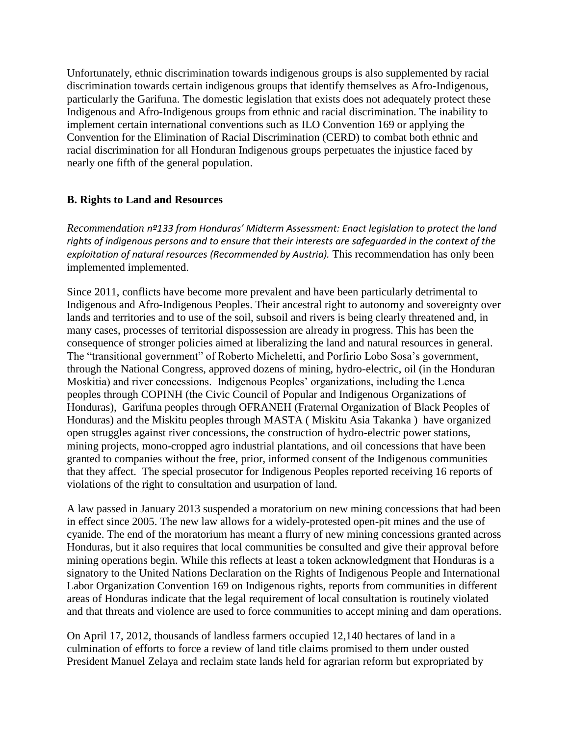Unfortunately, ethnic discrimination towards indigenous groups is also supplemented by racial discrimination towards certain indigenous groups that identify themselves as Afro-Indigenous, particularly the Garifuna. The domestic legislation that exists does not adequately protect these Indigenous and Afro-Indigenous groups from ethnic and racial discrimination. The inability to implement certain international conventions such as ILO Convention 169 or applying the Convention for the Elimination of Racial Discrimination (CERD) to combat both ethnic and racial discrimination for all Honduran Indigenous groups perpetuates the injustice faced by nearly one fifth of the general population.

### **B. Rights to Land and Resources**

*Recommendation nº133 from Honduras' Midterm Assessment: Enact legislation to protect the land rights of indigenous persons and to ensure that their interests are safeguarded in the context of the exploitation of natural resources (Recommended by Austria).* This recommendation has only been implemented implemented.

Since 2011, conflicts have become more prevalent and have been particularly detrimental to Indigenous and Afro-Indigenous Peoples. Their ancestral right to autonomy and sovereignty over lands and territories and to use of the soil, subsoil and rivers is being clearly threatened and, in many cases, processes of territorial dispossession are already in progress. This has been the consequence of stronger policies aimed at liberalizing the land and natural resources in general. The "transitional government" of Roberto Micheletti, and Porfirio Lobo Sosa's government, through the National Congress, approved dozens of mining, hydro-electric, oil (in the Honduran Moskitia) and river concessions. Indigenous Peoples' organizations, including the Lenca peoples through COPINH (the Civic Council of Popular and Indigenous Organizations of Honduras), Garifuna peoples through OFRANEH (Fraternal Organization of Black Peoples of Honduras) and the Miskitu peoples through MASTA ( Miskitu Asia Takanka ) have organized open struggles against river concessions, the construction of hydro-electric power stations, mining projects, mono-cropped agro industrial plantations, and oil concessions that have been granted to companies without the free, prior, informed consent of the Indigenous communities that they affect. The special prosecutor for Indigenous Peoples reported receiving 16 reports of violations of the right to consultation and usurpation of land.

A law passed in January 2013 suspended a moratorium on new mining concessions that had been in effect since 2005. The new law allows for a widely-protested open-pit mines and the use of cyanide. The end of the moratorium has meant a flurry of new mining concessions granted across Honduras, but it also requires that local communities be consulted and give their approval before mining operations begin. While this reflects at least a token acknowledgment that Honduras is a signatory to the United Nations Declaration on the Rights of Indigenous People and International Labor Organization Convention 169 on Indigenous rights, reports from communities in different areas of Honduras indicate that the legal requirement of local consultation is routinely violated and that threats and violence are used to force communities to accept mining and dam operations.

On April 17, 2012, thousands of landless farmers occupied 12,140 hectares of land in a culmination of efforts to force a review of land title claims promised to them under ousted President Manuel Zelaya and reclaim state lands held for agrarian reform but expropriated by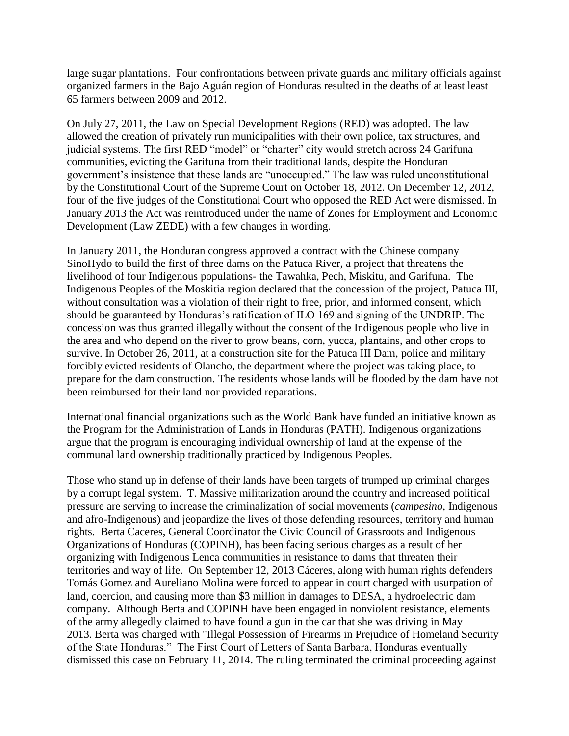large sugar plantations. Four confrontations between private guards and military officials against organized farmers in the Bajo Aguán region of Honduras resulted in the deaths of at least least 65 farmers between 2009 and 2012.

On July 27, 2011, the Law on Special Development Regions (RED) was adopted. The law allowed the creation of privately run municipalities with their own police, tax structures, and judicial systems. The first RED "model" or "charter" city would stretch across 24 Garifuna communities, evicting the Garifuna from their traditional lands, despite the Honduran government's insistence that these lands are "unoccupied." The law was ruled unconstitutional by the Constitutional Court of the Supreme Court on October 18, 2012. On December 12, 2012, four of the five judges of the Constitutional Court who opposed the RED Act were dismissed. In January 2013 the Act was reintroduced under the name of Zones for Employment and Economic Development (Law ZEDE) with a few changes in wording.

In January 2011, the Honduran congress approved a contract with the Chinese company SinoHydo to build the first of three dams on the Patuca River, a project that threatens the livelihood of four Indigenous populations- the Tawahka, Pech, Miskitu, and Garifuna. The Indigenous Peoples of the Moskitia region declared that the concession of the project, Patuca III, without consultation was a violation of their right to free, prior, and informed consent, which should be guaranteed by Honduras's ratification of ILO 169 and signing of the UNDRIP. The concession was thus granted illegally without the consent of the Indigenous people who live in the area and who depend on the river to grow beans, corn, yucca, plantains, and other crops to survive. In October 26, 2011, at a construction site for the Patuca III Dam, police and military forcibly evicted residents of Olancho, the department where the project was taking place, to prepare for the dam construction. The residents whose lands will be flooded by the dam have not been reimbursed for their land nor provided reparations.

International financial organizations such as the World Bank have funded an initiative known as the Program for the Administration of Lands in Honduras (PATH). Indigenous organizations argue that the program is encouraging individual ownership of land at the expense of the communal land ownership traditionally practiced by Indigenous Peoples.

Those who stand up in defense of their lands have been targets of trumped up criminal charges by a corrupt legal system. T. Massive militarization around the country and increased political pressure are serving to increase the criminalization of social movements (*campesino*, Indigenous and afro-Indigenous) and jeopardize the lives of those defending resources, territory and human rights. Berta Caceres, General Coordinator the Civic Council of Grassroots and Indigenous Organizations of Honduras (COPINH), has been facing serious charges as a result of her organizing with Indigenous Lenca communities in resistance to dams that threaten their territories and way of life. On September 12, 2013 Cáceres, along with human rights defenders Tomás Gomez and Aureliano Molina were forced to appear in court charged with usurpation of land, coercion, and causing more than \$3 million in damages to DESA, a hydroelectric dam company. Although Berta and COPINH have been engaged in nonviolent resistance, elements of the army allegedly claimed to have found a gun in the car that she was driving in May 2013. Berta was charged with "Illegal Possession of Firearms in Prejudice of Homeland Security of the State Honduras." The First Court of Letters of Santa Barbara, Honduras eventually dismissed this case on February 11, 2014. The ruling terminated the criminal proceeding against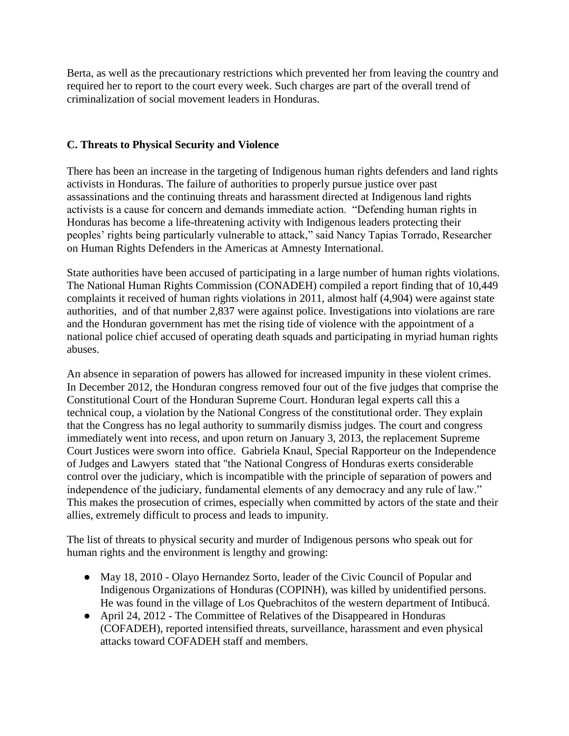Berta, as well as the precautionary restrictions which prevented her from leaving the country and required her to report to the court every week. Such charges are part of the overall trend of criminalization of social movement leaders in Honduras.

### **C. Threats to Physical Security and Violence**

There has been an increase in the targeting of Indigenous human rights defenders and land rights activists in Honduras. The failure of authorities to properly pursue justice over past assassinations and the continuing threats and harassment directed at Indigenous land rights activists is a cause for concern and demands immediate action. "Defending human rights in Honduras has become a life-threatening activity with Indigenous leaders protecting their peoples' rights being particularly vulnerable to attack," said Nancy Tapias Torrado, Researcher on Human Rights Defenders in the Americas at Amnesty International.

State authorities have been accused of participating in a large number of human rights violations. The National Human Rights Commission (CONADEH) compiled a report finding that of 10,449 complaints it received of human rights violations in 2011, almost half (4,904) were against state authorities, and of that number 2,837 were against police. Investigations into violations are rare and the Honduran government has met the rising tide of violence with the appointment of a national police chief accused of operating death squads and participating in myriad human rights abuses.

An absence in separation of powers has allowed for increased impunity in these violent crimes. In December 2012, the Honduran congress removed four out of the five judges that comprise the Constitutional Court of the Honduran Supreme Court. Honduran legal experts call this a technical coup, a violation by the National Congress of the constitutional order. They explain that the Congress has no legal authority to summarily dismiss judges. The court and congress immediately went into recess, and upon return on January 3, 2013, the replacement Supreme Court Justices were sworn into office. Gabriela Knaul, Special Rapporteur on the Independence of Judges and Lawyers stated that "the National Congress of Honduras exerts considerable control over the judiciary, which is incompatible with the principle of separation of powers and independence of the judiciary, fundamental elements of any democracy and any rule of law." This makes the prosecution of crimes, especially when committed by actors of the state and their allies, extremely difficult to process and leads to impunity.

The list of threats to physical security and murder of Indigenous persons who speak out for human rights and the environment is lengthy and growing:

- May 18, 2010 Olayo Hernandez Sorto, leader of the Civic Council of Popular and Indigenous Organizations of Honduras (COPINH), was killed by unidentified persons. He was found in the village of Los Quebrachitos of the western department of Intibucá.
- April 24, 2012 The Committee of Relatives of the Disappeared in Honduras (COFADEH), reported intensified threats, surveillance, harassment and even physical attacks toward COFADEH staff and members.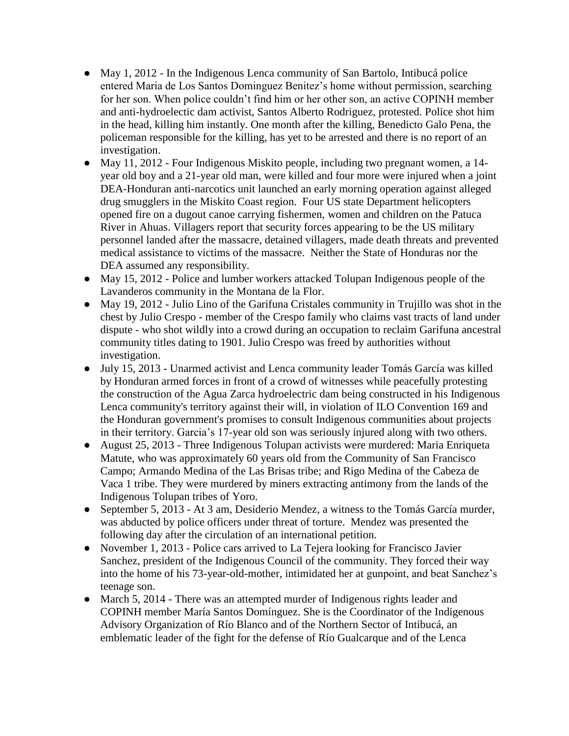- May 1, 2012 In the Indigenous Lenca community of San Bartolo, Intibucá police entered Maria de Los Santos Dominguez Benitez's home without permission, searching for her son. When police couldn't find him or her other son, an active COPINH member and anti-hydroelectic dam activist, Santos Alberto Rodriguez, protested. Police shot him in the head, killing him instantly. One month after the killing, Benedicto Galo Pena, the policeman responsible for the killing, has yet to be arrested and there is no report of an investigation.
- May 11, 2012 Four Indigenous Miskito people, including two pregnant women, a 14 year old boy and a 21-year old man, were killed and four more were injured when a joint DEA-Honduran anti-narcotics unit launched an early morning operation against alleged drug smugglers in the Miskito Coast region. Four US state Department helicopters opened fire on a dugout canoe carrying fishermen, women and children on the Patuca River in Ahuas. Villagers report that security forces appearing to be the US military personnel landed after the massacre, detained villagers, made death threats and prevented medical assistance to victims of the massacre. Neither the State of Honduras nor the DEA assumed any responsibility.
- May 15, 2012 Police and lumber workers attacked Tolupan Indigenous people of the Lavanderos community in the Montana de la Flor.
- May 19, 2012 Julio Lino of the Garifuna Cristales community in Trujillo was shot in the chest by Julio Crespo - member of the Crespo family who claims vast tracts of land under dispute - who shot wildly into a crowd during an occupation to reclaim Garifuna ancestral community titles dating to 1901. Julio Crespo was freed by authorities without investigation.
- July 15, 2013 Unarmed activist and Lenca community leader Tomás García was killed by Honduran armed forces in front of a crowd of witnesses while peacefully protesting the construction of the Agua Zarca hydroelectric dam being constructed in his Indigenous Lenca community's territory against their will, in violation of ILO Convention 169 and the Honduran government's promises to consult Indigenous communities about projects in their territory. Garcia's 17-year old son was seriously injured along with two others.
- August 25, 2013 Three Indigenous Tolupan activists were murdered: Maria Enriqueta Matute, who was approximately 60 years old from the Community of San Francisco Campo; Armando Medina of the Las Brisas tribe; and Rigo Medina of the Cabeza de Vaca 1 tribe. They were murdered by miners extracting antimony from the lands of the Indigenous Tolupan tribes of Yoro.
- September 5, 2013 At 3 am, Desiderio Mendez, a witness to the Tomás García murder, was abducted by police officers under threat of torture. Mendez was presented the following day after the circulation of an international petition.
- November 1, 2013 Police cars arrived to La Tejera looking for Francisco Javier Sanchez, president of the Indigenous Council of the community. They forced their way into the home of his 73-year-old-mother, intimidated her at gunpoint, and beat Sanchez's teenage son.
- March 5, 2014 There was an attempted murder of Indigenous rights leader and COPINH member María Santos Domínguez. She is the Coordinator of the Indigenous Advisory Organization of Río Blanco and of the Northern Sector of Intibucá, an emblematic leader of the fight for the defense of Río Gualcarque and of the Lenca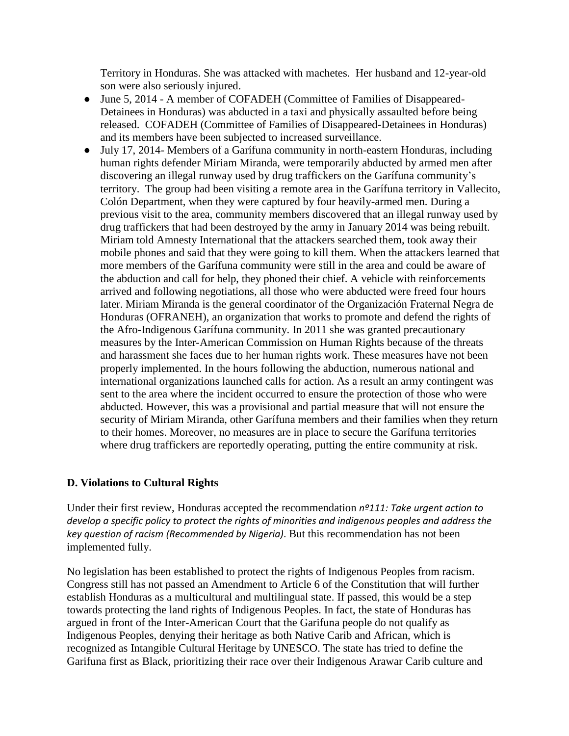Territory in Honduras. She was attacked with machetes. Her husband and 12-year-old son were also seriously injured.

- June 5, 2014 A member of COFADEH (Committee of Families of Disappeared-Detainees in Honduras) was abducted in a taxi and physically assaulted before being released. COFADEH (Committee of Families of Disappeared-Detainees in Honduras) and its members have been subjected to increased surveillance.
- July 17, 2014- Members of a Garífuna community in north-eastern Honduras, including human rights defender Miriam Miranda, were temporarily abducted by armed men after discovering an illegal runway used by drug traffickers on the Garífuna community's territory. The group had been visiting a remote area in the Garífuna territory in Vallecito, Colón Department, when they were captured by four heavily-armed men. During a previous visit to the area, community members discovered that an illegal runway used by drug traffickers that had been destroyed by the army in January 2014 was being rebuilt. Miriam told Amnesty International that the attackers searched them, took away their mobile phones and said that they were going to kill them. When the attackers learned that more members of the Garífuna community were still in the area and could be aware of the abduction and call for help, they phoned their chief. A vehicle with reinforcements arrived and following negotiations, all those who were abducted were freed four hours later. Miriam Miranda is the general coordinator of the Organización Fraternal Negra de Honduras (OFRANEH), an organization that works to promote and defend the rights of the Afro-Indigenous Garífuna community. In 2011 she was granted precautionary measures by the Inter-American Commission on Human Rights because of the threats and harassment she faces due to her human rights work. These measures have not been properly implemented. In the hours following the abduction, numerous national and international organizations launched calls for action. As a result an army contingent was sent to the area where the incident occurred to ensure the protection of those who were abducted. However, this was a provisional and partial measure that will not ensure the security of Miriam Miranda, other Garífuna members and their families when they return to their homes. Moreover, no measures are in place to secure the Garífuna territories where drug traffickers are reportedly operating, putting the entire community at risk.

### **D. Violations to Cultural Rights**

Under their first review, Honduras accepted the recommendation *nº111: Take urgent action to develop a specific policy to protect the rights of minorities and indigenous peoples and address the key question of racism (Recommended by Nigeria)*. But this recommendation has not been implemented fully.

No legislation has been established to protect the rights of Indigenous Peoples from racism. Congress still has not passed an Amendment to Article 6 of the Constitution that will further establish Honduras as a multicultural and multilingual state. If passed, this would be a step towards protecting the land rights of Indigenous Peoples. In fact, the state of Honduras has argued in front of the Inter-American Court that the Garifuna people do not qualify as Indigenous Peoples, denying their heritage as both Native Carib and African, which is recognized as Intangible Cultural Heritage by UNESCO. The state has tried to define the Garifuna first as Black, prioritizing their race over their Indigenous Arawar Carib culture and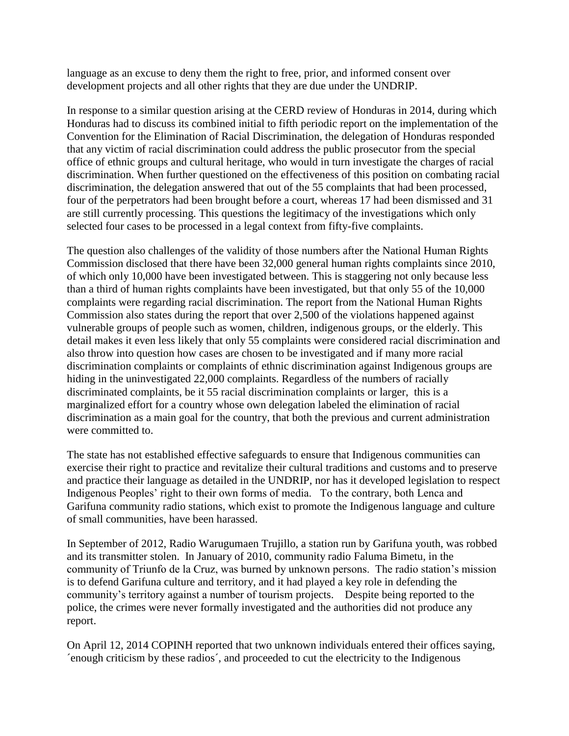language as an excuse to deny them the right to free, prior, and informed consent over development projects and all other rights that they are due under the UNDRIP.

In response to a similar question arising at the CERD review of Honduras in 2014, during which Honduras had to discuss its combined initial to fifth periodic report on the implementation of the Convention for the Elimination of Racial Discrimination, the delegation of Honduras responded that any victim of racial discrimination could address the public prosecutor from the special office of ethnic groups and cultural heritage, who would in turn investigate the charges of racial discrimination. When further questioned on the effectiveness of this position on combating racial discrimination, the delegation answered that out of the 55 complaints that had been processed, four of the perpetrators had been brought before a court, whereas 17 had been dismissed and 31 are still currently processing. This questions the legitimacy of the investigations which only selected four cases to be processed in a legal context from fifty-five complaints.

The question also challenges of the validity of those numbers after the National Human Rights Commission disclosed that there have been 32,000 general human rights complaints since 2010, of which only 10,000 have been investigated between. This is staggering not only because less than a third of human rights complaints have been investigated, but that only 55 of the 10,000 complaints were regarding racial discrimination. The report from the National Human Rights Commission also states during the report that over 2,500 of the violations happened against vulnerable groups of people such as women, children, indigenous groups, or the elderly. This detail makes it even less likely that only 55 complaints were considered racial discrimination and also throw into question how cases are chosen to be investigated and if many more racial discrimination complaints or complaints of ethnic discrimination against Indigenous groups are hiding in the uninvestigated 22,000 complaints. Regardless of the numbers of racially discriminated complaints, be it 55 racial discrimination complaints or larger, this is a marginalized effort for a country whose own delegation labeled the elimination of racial discrimination as a main goal for the country, that both the previous and current administration were committed to.

The state has not established effective safeguards to ensure that Indigenous communities can exercise their right to practice and revitalize their cultural traditions and customs and to preserve and practice their language as detailed in the UNDRIP, nor has it developed legislation to respect Indigenous Peoples' right to their own forms of media. To the contrary, both Lenca and Garifuna community radio stations, which exist to promote the Indigenous language and culture of small communities, have been harassed.

In September of 2012, Radio Warugumaen Trujillo, a station run by Garifuna youth, was robbed and its transmitter stolen. In January of 2010, community radio Faluma Bimetu, in the community of Triunfo de la Cruz, was burned by unknown persons. The radio station's mission is to defend Garifuna culture and territory, and it had played a key role in defending the community's territory against a number of tourism projects. Despite being reported to the police, the crimes were never formally investigated and the authorities did not produce any report.

On April 12, 2014 COPINH reported that two unknown individuals entered their offices saying, ´enough criticism by these radios´, and proceeded to cut the electricity to the Indigenous